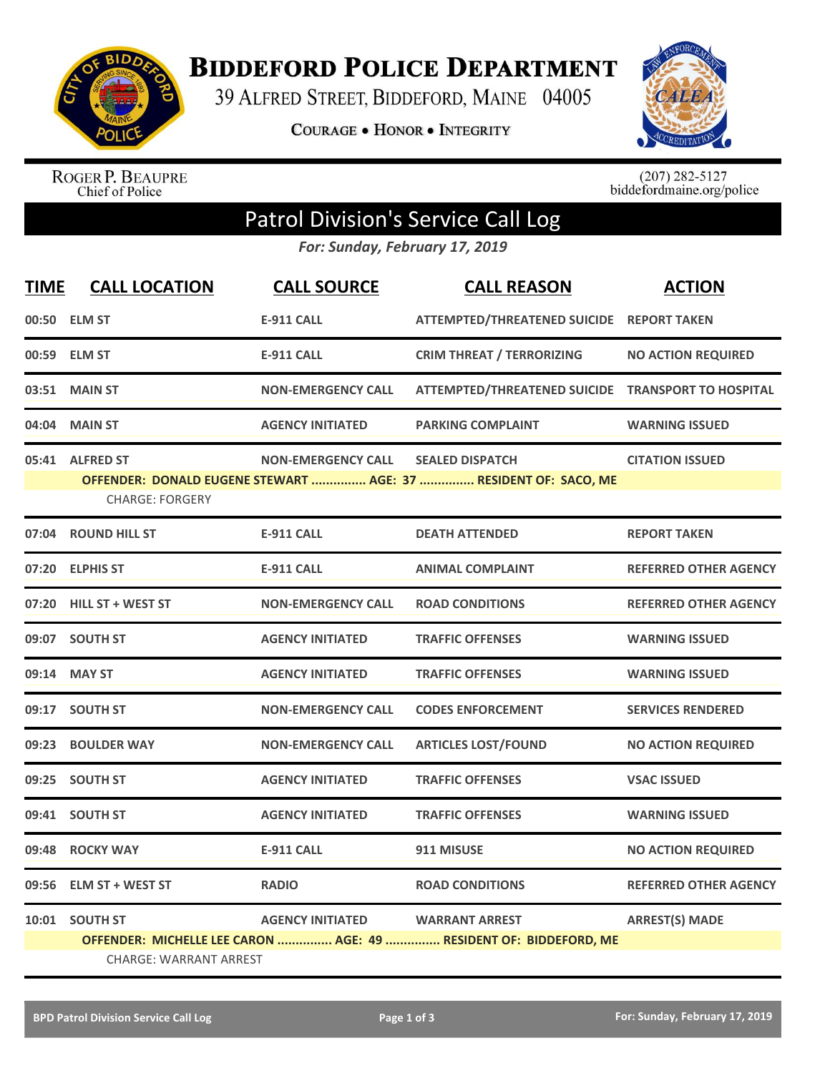

**BIDDEFORD POLICE DEPARTMENT** 

39 ALFRED STREET, BIDDEFORD, MAINE 04005

**COURAGE . HONOR . INTEGRITY** 



ROGER P. BEAUPRE<br>Chief of Police

 $(207)$  282-5127<br>biddefordmaine.org/police

## Patrol Division's Service Call Log

*For: Sunday, February 17, 2019*

| <b>TIME</b> | <b>CALL LOCATION</b>          | <b>CALL SOURCE</b>        | <b>CALL REASON</b>                                                | <b>ACTION</b>                |
|-------------|-------------------------------|---------------------------|-------------------------------------------------------------------|------------------------------|
|             | 00:50 ELM ST                  | <b>E-911 CALL</b>         | ATTEMPTED/THREATENED SUICIDE REPORT TAKEN                         |                              |
| 00:59       | <b>ELM ST</b>                 | <b>E-911 CALL</b>         | <b>CRIM THREAT / TERRORIZING</b>                                  | <b>NO ACTION REQUIRED</b>    |
| 03:51       | <b>MAIN ST</b>                | <b>NON-EMERGENCY CALL</b> | ATTEMPTED/THREATENED SUICIDE TRANSPORT TO HOSPITAL                |                              |
| 04:04       | <b>MAIN ST</b>                | <b>AGENCY INITIATED</b>   | <b>PARKING COMPLAINT</b>                                          | <b>WARNING ISSUED</b>        |
|             | 05:41 ALFRED ST               | <b>NON-EMERGENCY CALL</b> | <b>SEALED DISPATCH</b>                                            | <b>CITATION ISSUED</b>       |
|             |                               |                           | OFFENDER: DONALD EUGENE STEWART  AGE: 37  RESIDENT OF: SACO, ME   |                              |
|             | <b>CHARGE: FORGERY</b>        |                           |                                                                   |                              |
| 07:04       | <b>ROUND HILL ST</b>          | <b>E-911 CALL</b>         | <b>DEATH ATTENDED</b>                                             | <b>REPORT TAKEN</b>          |
| 07:20       | <b>ELPHIS ST</b>              | <b>E-911 CALL</b>         | <b>ANIMAL COMPLAINT</b>                                           | <b>REFERRED OTHER AGENCY</b> |
| 07:20       | <b>HILL ST + WEST ST</b>      | <b>NON-EMERGENCY CALL</b> | <b>ROAD CONDITIONS</b>                                            | <b>REFERRED OTHER AGENCY</b> |
|             | 09:07 SOUTH ST                | <b>AGENCY INITIATED</b>   | <b>TRAFFIC OFFENSES</b>                                           | <b>WARNING ISSUED</b>        |
| 09:14       | <b>MAY ST</b>                 | <b>AGENCY INITIATED</b>   | <b>TRAFFIC OFFENSES</b>                                           | <b>WARNING ISSUED</b>        |
| 09:17       | <b>SOUTH ST</b>               | <b>NON-EMERGENCY CALL</b> | <b>CODES ENFORCEMENT</b>                                          | <b>SERVICES RENDERED</b>     |
| 09:23       | <b>BOULDER WAY</b>            | <b>NON-EMERGENCY CALL</b> | <b>ARTICLES LOST/FOUND</b>                                        | <b>NO ACTION REQUIRED</b>    |
| 09:25       | <b>SOUTH ST</b>               | <b>AGENCY INITIATED</b>   | <b>TRAFFIC OFFENSES</b>                                           | <b>VSAC ISSUED</b>           |
| 09:41       | <b>SOUTH ST</b>               | <b>AGENCY INITIATED</b>   | <b>TRAFFIC OFFENSES</b>                                           | <b>WARNING ISSUED</b>        |
| 09:48       | <b>ROCKY WAY</b>              | E-911 CALL                | 911 MISUSE                                                        | <b>NO ACTION REQUIRED</b>    |
| 09:56       | <b>ELM ST + WEST ST</b>       | <b>RADIO</b>              | <b>ROAD CONDITIONS</b>                                            | <b>REFERRED OTHER AGENCY</b> |
|             | 10:01 SOUTH ST                | <b>AGENCY INITIATED</b>   | <b>WARRANT ARREST</b>                                             | <b>ARREST(S) MADE</b>        |
|             |                               |                           | OFFENDER: MICHELLE LEE CARON  AGE: 49  RESIDENT OF: BIDDEFORD, ME |                              |
|             | <b>CHARGE: WARRANT ARREST</b> |                           |                                                                   |                              |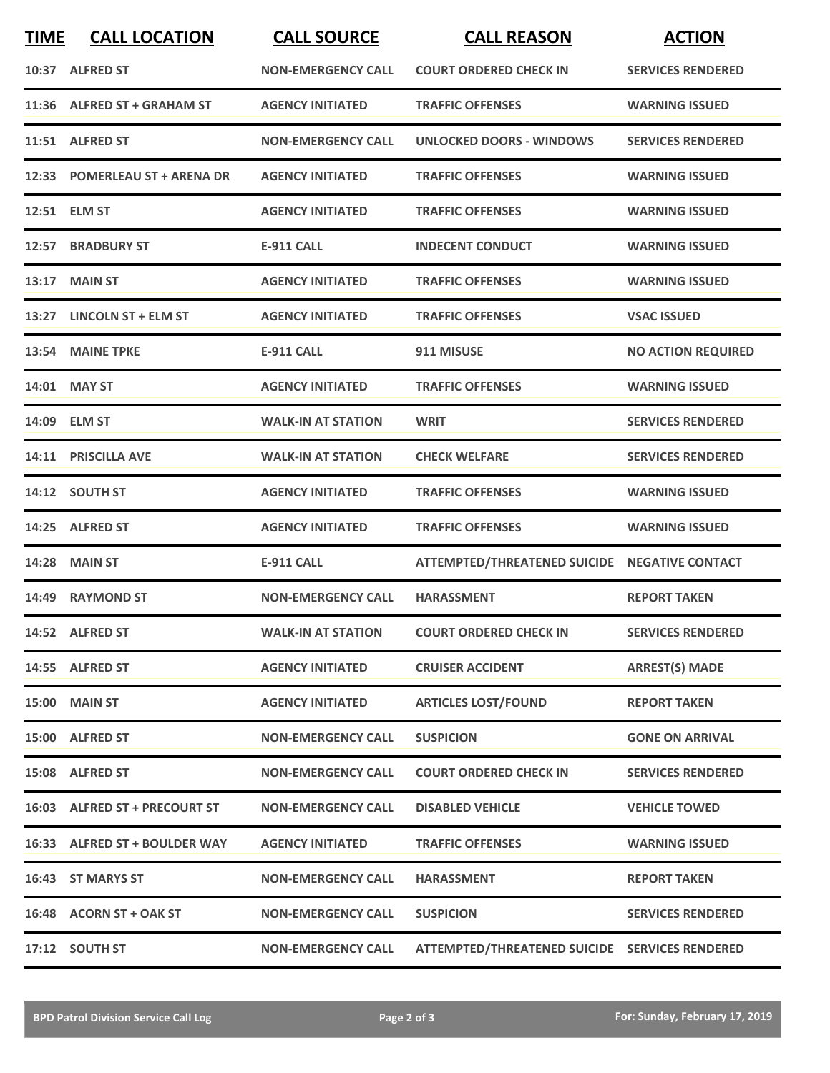| <b>TIME</b> | <b>CALL LOCATION</b>          | <b>CALL SOURCE</b>        | <b>CALL REASON</b>                             | <b>ACTION</b>             |
|-------------|-------------------------------|---------------------------|------------------------------------------------|---------------------------|
|             | 10:37 ALFRED ST               | <b>NON-EMERGENCY CALL</b> | <b>COURT ORDERED CHECK IN</b>                  | <b>SERVICES RENDERED</b>  |
|             | 11:36 ALFRED ST + GRAHAM ST   | <b>AGENCY INITIATED</b>   | <b>TRAFFIC OFFENSES</b>                        | <b>WARNING ISSUED</b>     |
|             | 11:51 ALFRED ST               | <b>NON-EMERGENCY CALL</b> | UNLOCKED DOORS - WINDOWS                       | <b>SERVICES RENDERED</b>  |
|             | 12:33 POMERLEAU ST + ARENA DR | <b>AGENCY INITIATED</b>   | <b>TRAFFIC OFFENSES</b>                        | <b>WARNING ISSUED</b>     |
|             | 12:51 ELM ST                  | <b>AGENCY INITIATED</b>   | <b>TRAFFIC OFFENSES</b>                        | <b>WARNING ISSUED</b>     |
|             | 12:57 BRADBURY ST             | <b>E-911 CALL</b>         | <b>INDECENT CONDUCT</b>                        | <b>WARNING ISSUED</b>     |
| 13:17       | <b>MAIN ST</b>                | <b>AGENCY INITIATED</b>   | <b>TRAFFIC OFFENSES</b>                        | <b>WARNING ISSUED</b>     |
|             | 13:27 LINCOLN ST + ELM ST     | <b>AGENCY INITIATED</b>   | <b>TRAFFIC OFFENSES</b>                        | <b>VSAC ISSUED</b>        |
|             | 13:54 MAINE TPKE              | <b>E-911 CALL</b>         | 911 MISUSE                                     | <b>NO ACTION REQUIRED</b> |
|             | 14:01 MAY ST                  | <b>AGENCY INITIATED</b>   | <b>TRAFFIC OFFENSES</b>                        | <b>WARNING ISSUED</b>     |
|             | 14:09 ELM ST                  | <b>WALK-IN AT STATION</b> | <b>WRIT</b>                                    | <b>SERVICES RENDERED</b>  |
|             | 14:11 PRISCILLA AVE           | <b>WALK-IN AT STATION</b> | <b>CHECK WELFARE</b>                           | <b>SERVICES RENDERED</b>  |
|             | 14:12 SOUTH ST                | <b>AGENCY INITIATED</b>   | <b>TRAFFIC OFFENSES</b>                        | <b>WARNING ISSUED</b>     |
|             | 14:25 ALFRED ST               | <b>AGENCY INITIATED</b>   | <b>TRAFFIC OFFENSES</b>                        | <b>WARNING ISSUED</b>     |
|             | <b>14:28 MAIN ST</b>          | <b>E-911 CALL</b>         | ATTEMPTED/THREATENED SUICIDE NEGATIVE CONTACT  |                           |
|             | 14:49 RAYMOND ST              | <b>NON-EMERGENCY CALL</b> | <b>HARASSMENT</b>                              | <b>REPORT TAKEN</b>       |
|             | 14:52 ALFRED ST               | <b>WALK-IN AT STATION</b> | <b>COURT ORDERED CHECK IN</b>                  | <b>SERVICES RENDERED</b>  |
|             | 14:55 ALFRED ST               | <b>AGENCY INITIATED</b>   | <b>CRUISER ACCIDENT</b>                        | <b>ARREST(S) MADE</b>     |
|             | <b>15:00 MAIN ST</b>          | <b>AGENCY INITIATED</b>   | <b>ARTICLES LOST/FOUND</b>                     | <b>REPORT TAKEN</b>       |
|             | 15:00 ALFRED ST               | <b>NON-EMERGENCY CALL</b> | <b>SUSPICION</b>                               | <b>GONE ON ARRIVAL</b>    |
|             | 15:08 ALFRED ST               | <b>NON-EMERGENCY CALL</b> | <b>COURT ORDERED CHECK IN</b>                  | <b>SERVICES RENDERED</b>  |
|             | 16:03 ALFRED ST + PRECOURT ST | <b>NON-EMERGENCY CALL</b> | <b>DISABLED VEHICLE</b>                        | <b>VEHICLE TOWED</b>      |
|             | 16:33 ALFRED ST + BOULDER WAY | <b>AGENCY INITIATED</b>   | <b>TRAFFIC OFFENSES</b>                        | <b>WARNING ISSUED</b>     |
|             | 16:43 ST MARYS ST             | <b>NON-EMERGENCY CALL</b> | <b>HARASSMENT</b>                              | <b>REPORT TAKEN</b>       |
|             | 16:48 ACORN ST + OAK ST       | <b>NON-EMERGENCY CALL</b> | <b>SUSPICION</b>                               | <b>SERVICES RENDERED</b>  |
|             | 17:12 SOUTH ST                | <b>NON-EMERGENCY CALL</b> | ATTEMPTED/THREATENED SUICIDE SERVICES RENDERED |                           |